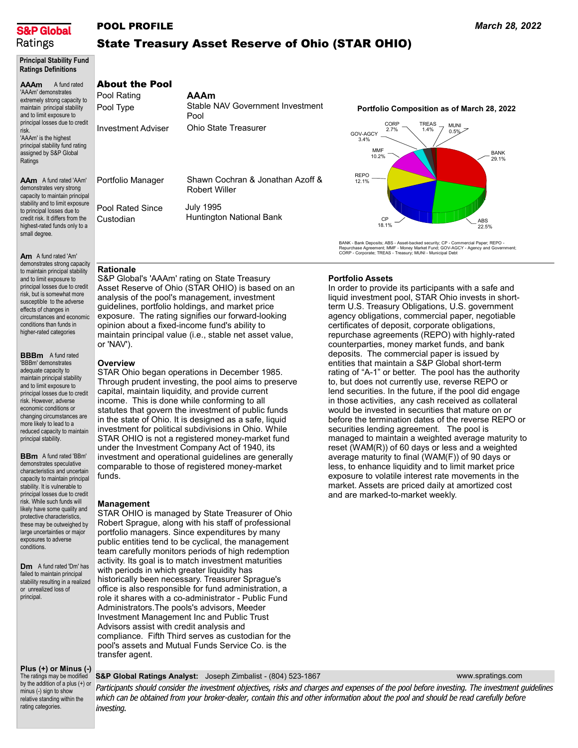

# POOL PROFILE

# State Treasury Asset Reserve of Ohio (STAR OHIO)

Principal Stability Fund Ratings Definitions

#### AAAm AAm A fund rated 'AAm' A fund rated 'AAAm' demonstrates extremely strong capacity to maintain principal stability and to limit exposure to principal losses due to credit risk. 'AAAm' is the highest principal stability fund rating assigned by S&P Global Ratings demonstrates very strong

capacity to maintain principal stability and to limit exposure to principal losses due to credit risk. It differs from the highest-rated funds only to a small degree.

Am A fund rated 'Am' demonstrates strong capacity to maintain principal stability and to limit exposure to principal losses due to credit risk, but is somewhat more susceptible to the adverse effects of changes in circumstances and economic conditions than funds in higher-rated categories

**BBBm** A fund rated 'BBBm' demonstrates adequate capacity to maintain principal stability and to limit exposure to principal losses due to credit risk. However, adverse economic conditions or changing circumstances are more likely to lead to a reduced capacity to maintain principal stability.

**BBm** A fund rated 'BBm' demonstrates speculative characteristics and uncertain capacity to maintain principal stability. It is vulnerable to principal losses due to credit risk. While such funds will likely have some quality and protective characteristics, these may be outweighed by large uncertainties or major exposures to adverse conditions.

**Dm** A fund rated 'Dm' has failed to maintain principal stability resulting in a realized or unrealized loss of principal.

## Plus (+) or Minus (-)

The ratings may be modified by the addition of a plus (+) or minus (-) sign to show relative standing within the rating categories.

### S&P Global Ratings Analyst: Joseph Zimbalist - (804) 523-1867

Participants should consider the investment objectives, risks and charges and expenses of the pool before investing. The investment guidelines which can be obtained from your broker-dealer, contain this and other information about the pool and should be read carefully before investing.

# About the Pool

| Pool Rating<br>Pool Type      | AAAm<br>Stable NAV Government Investment<br>Pool  |
|-------------------------------|---------------------------------------------------|
| Investment Adviser            | Ohio State Treasurer                              |
| Portfolio Manager             | Shawn Cochran & Jonathan Azoff &<br>Robert Willer |
| Pool Rated Since<br>Custodian | <b>July 1995</b><br>Huntington National Bank      |

### Portfolio Composition as of March 28, 2022



BANK - Bank Deposits; ABS - Asset-backed security; CP - Commercial Paper; REPO - Repurchase Agreement; MMF - Money Market Fund; GOV-AGCY - Agency and Government; CORP - Corporate; TREAS - Treasury; MUNI - Municipal Debt

In order to provide its participants with a safe and liquid investment pool, STAR Ohio invests in shortterm U.S. Treasury Obligations, U.S. government agency obligations, commercial paper, negotiable certificates of deposit, corporate obligations, repurchase agreements (REPO) with highly-rated counterparties, money market funds, and bank deposits. The commercial paper is issued by entities that maintain a S&P Global short-term rating of "A-1" or better. The pool has the authority to, but does not currently use, reverse REPO or lend securities. In the future, if the pool did engage in those activities, any cash received as collateral would be invested in securities that mature on or before the termination dates of the reverse REPO or

securities lending agreement. The pool is

and are marked-to-market weekly.

managed to maintain a weighted average maturity to reset (WAM(R)) of 60 days or less and a weighted average maturity to final (WAM(F)) of 90 days or less, to enhance liquidity and to limit market price exposure to volatile interest rate movements in the market. Assets are priced daily at amortized cost

Portfolio Assets

# Rationale

S&P Global's 'AAAm' rating on State Treasury Asset Reserve of Ohio (STAR OHIO) is based on an analysis of the pool's management, investment guidelines, portfolio holdings, and market price exposure. The rating signifies our forward-looking opinion about a fixed-income fund's ability to maintain principal value (i.e., stable net asset value, or 'NAV').

## **Overview**

STAR Ohio began operations in December 1985. Through prudent investing, the pool aims to preserve capital, maintain liquidity, and provide current income. This is done while conforming to all statutes that govern the investment of public funds in the state of Ohio. It is designed as a safe, liquid investment for political subdivisions in Ohio. While STAR OHIO is not a registered money-market fund under the Investment Company Act of 1940, its investment and operational guidelines are generally comparable to those of registered money-market funds.

# Management

STAR OHIO is managed by State Treasurer of Ohio Robert Sprague, along with his staff of professional portfolio managers. Since expenditures by many public entities tend to be cyclical, the management team carefully monitors periods of high redemption activity. Its goal is to match investment maturities with periods in which greater liquidity has historically been necessary. Treasurer Sprague's office is also responsible for fund administration, a role it shares with a co-administrator - Public Fund Administrators.The pools's advisors, Meeder Investment Management Inc and Public Trust Advisors assist with credit analysis and compliance. Fifth Third serves as custodian for the pool's assets and Mutual Funds Service Co. is the transfer agent.

www.spratings.com